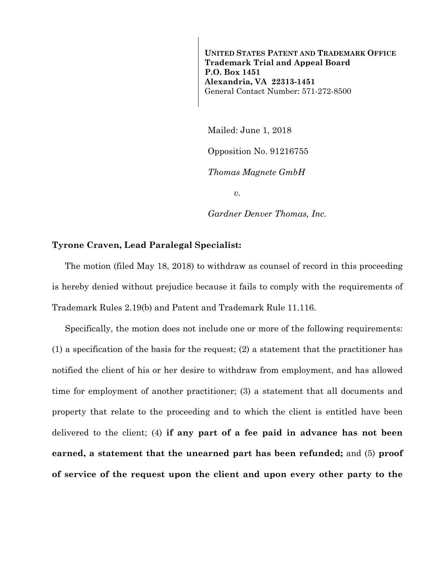**UNITED STATES PATENT AND TRADEMARK OFFICE Trademark Trial and Appeal Board P.O. Box 1451 Alexandria, VA 22313-1451**  General Contact Number: 571-272-8500

Mailed: June 1, 2018

Opposition No. 91216755

*Thomas Magnete GmbH* 

*v.* 

*Gardner Denver Thomas, Inc.* 

## **Tyrone Craven, Lead Paralegal Specialist:**

The motion (filed May 18, 2018) to withdraw as counsel of record in this proceeding is hereby denied without prejudice because it fails to comply with the requirements of Trademark Rules 2.19(b) and Patent and Trademark Rule 11.116.

Specifically, the motion does not include one or more of the following requirements: (1) a specification of the basis for the request; (2) a statement that the practitioner has notified the client of his or her desire to withdraw from employment, and has allowed time for employment of another practitioner; (3) a statement that all documents and property that relate to the proceeding and to which the client is entitled have been delivered to the client; (4) **if any part of a fee paid in advance has not been earned, a statement that the unearned part has been refunded;** and (5) **proof of service of the request upon the client and upon every other party to the**